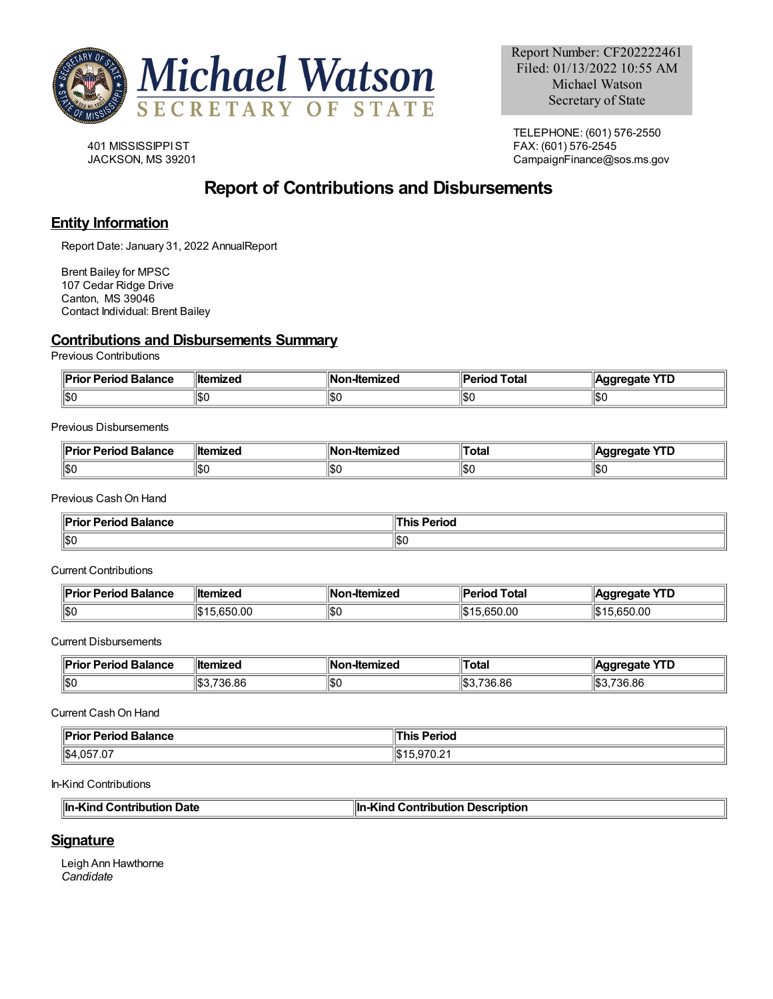

401 MISSISSIPPIST JACKSON, MS 39201

TELEPHONE: (601) 576-2550 FAX: (601) 576-2545 CampaignFinance@sos.ms.gov

# **Report of Contributions and Disbursements**

### **Entity Information**

Report Date: January 31, 2022 AnnualReport

Brent Bailey for MPSC 107 Cedar Ridge Drive Canton, MS 39046 Contact Individual: Brent Bailey

#### **Contributions and Disbursements Summary**

Previous Contributions

| or Period Balance<br>نر دا ا<br>″rıc | <b>∥ltemized</b> | ‼Nο.<br>-Itemized | Total<br>'erioc | $\sqrt{10}$<br>aate<br>. I D |
|--------------------------------------|------------------|-------------------|-----------------|------------------------------|
| 11\$0                                | IЖ               | 1\$C              | / ∂اا<br>סטוו   | H<br>∪⊄ا                     |

Previous Disbursements

| апсе<br>-- | ∥Ite        | 1N.<br>.<br>15 L | Гоtа   | н.    |
|------------|-------------|------------------|--------|-------|
| IISO       | ۱¢۱<br>∪סוו | \$(              | 'l DL. | 11\$C |

Previous CashOn Hand

| <b>ior Period Balance</b> | Period |
|---------------------------|--------|
| <b>Priol</b>              | hıs    |
| ∥\$0                      | IISC   |

Current Contributions

| $\blacksquare$ Prior<br><b>Period Balance</b> | ⊪ltemized       | ⊪Non-Itemized | <b>'</b>  Period<br><b>I</b> Total | <b>YTD</b><br><b>Aggregate</b> |
|-----------------------------------------------|-----------------|---------------|------------------------------------|--------------------------------|
| 150                                           | .0.050.00<br>ыD | lisc          | .650.00<br>הוו                     | .650.00                        |

Current Disbursements

| ،io»i<br>Period<br><b>Balance</b> | <b>∥ltemized</b> | ⊪No<br>-Itemized | ⊺otal           | $\sqrt{2}$<br>edate<br>. . |
|-----------------------------------|------------------|------------------|-----------------|----------------------------|
| ∥\$0                              | 736.86           | \$(              | 736.86<br>lsDs: | 1S3<br>736.86              |

Current CashOn Hand

| $\ $ Pric             | Period           |
|-----------------------|------------------|
| <b>Period Balance</b> | nıs              |
| .                     |                  |
| $\ $ \$4,057.07       | $\mathbf{u}$ / 1 |
|                       | 10,510.21        |

In-Kind Contributions

| ⊪In-Kind Contribution Date | $\ $ In-Kind Contribution Description |
|----------------------------|---------------------------------------|

### **Signature**

Leigh Ann Hawthorne *Candidate*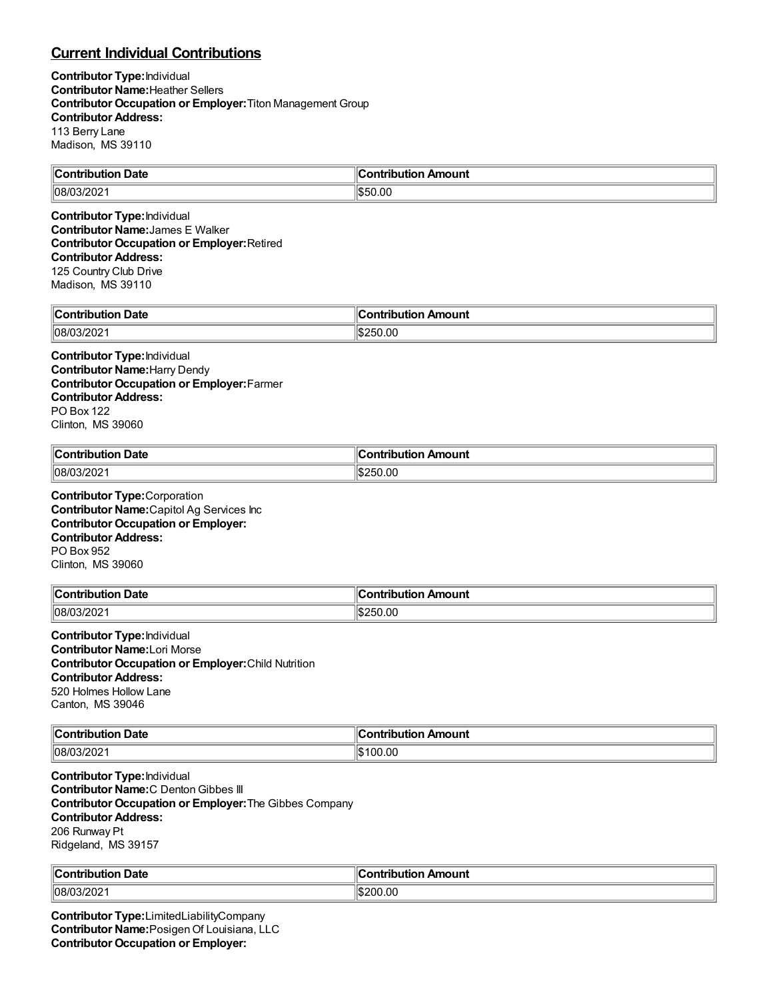## **Current Individual Contributions**

**Contributor Type:**Individual **Contributor Name:**Heather Sellers **Contributor Occupation or Employer:**Titon Management Group **Contributor Address:** 113 Berry Lane Madison, MS 39110

| ⊪∩<br><b>Date</b><br>------<br>.<br>. | --<br>ı<br>mount<br><b>OD</b><br>- - -<br>----- |
|---------------------------------------|-------------------------------------------------|
| ™∩8∧.<br>$\sim$ $\sim$<br>ا ۷۵۵ ه.پ   | 0.00<br>נ:מו                                    |

**Contributor Type:**Individual **Contributor Name:**James E Walker **Contributor Occupation or Employer:**Retired **Contributor Address:** 125 Country Club Drive Madison, MS 39110

| $\mathsf{C}$ ontribution<br>Date<br>JUHOL | Amount<br>$\cdots$ on $\cdots$<br>. |
|-------------------------------------------|-------------------------------------|
| $ 08/03/202\rangle$                       | 250.00<br>י הו                      |

**Contributor Type:**Individual **Contributor Name:**Harry Dendy **Contributor Occupation or Employer:**Farmer **Contributor Address:** PO Box 122 Clinton, MS 39060

| $\mathsf{I}$<br><b>Date</b><br>$\sim$ $\sim$ $\sim$ $\sim$ $\sim$ $\sim$ $\sim$ | .Ir<br>.<br>ım         |
|---------------------------------------------------------------------------------|------------------------|
| 08/0<br>≤∪∠                                                                     | $\sim$<br>.UC<br>. והי |

**Contributor Type:**Corporation **Contributor Name:**Capitol Ag Services Inc **Contributor Occupation or Employer: Contributor Address:** PO Box 952 Clinton, MS 39060

| $\mathsf{C}$ ontribution<br>Date<br>ripuuor.<br>וטטו | ∶ontribution Amount |
|------------------------------------------------------|---------------------|
| $ 08/03/202\rangle$                                  | 250.00              |

**Contributor Type:**Individual **Contributor Name:**Lori Morse **Contributor Occupation or Employer:**Child Nutrition **Contributor Address:** 520 Holmes Hollow Lane Canton, MS 39046

| <b>Contribution Date</b> | `ontribution Amount |
|--------------------------|---------------------|
| 08/03/202                | 00.00               |

**Contributor Type:**Individual **Contributor Name:**C DentonGibbes III **Contributor Occupation or Employer:**The Gibbes Company **Contributor Address:** 206 Runway Pt Ridgeland, MS 39157

| llC          | . Ir     |
|--------------|----------|
| Date         | Amount   |
| <b>COMPT</b> | $-1 - 1$ |
| .            | ---      |
| ------       | -----    |
| .            | .        |
| 08/0<br>∸∪∠  | 200.00   |

**Contributor Type:**LimitedLiabilityCompany **Contributor Name:**PosigenOf Louisiana, LLC **Contributor Occupation or Employer:**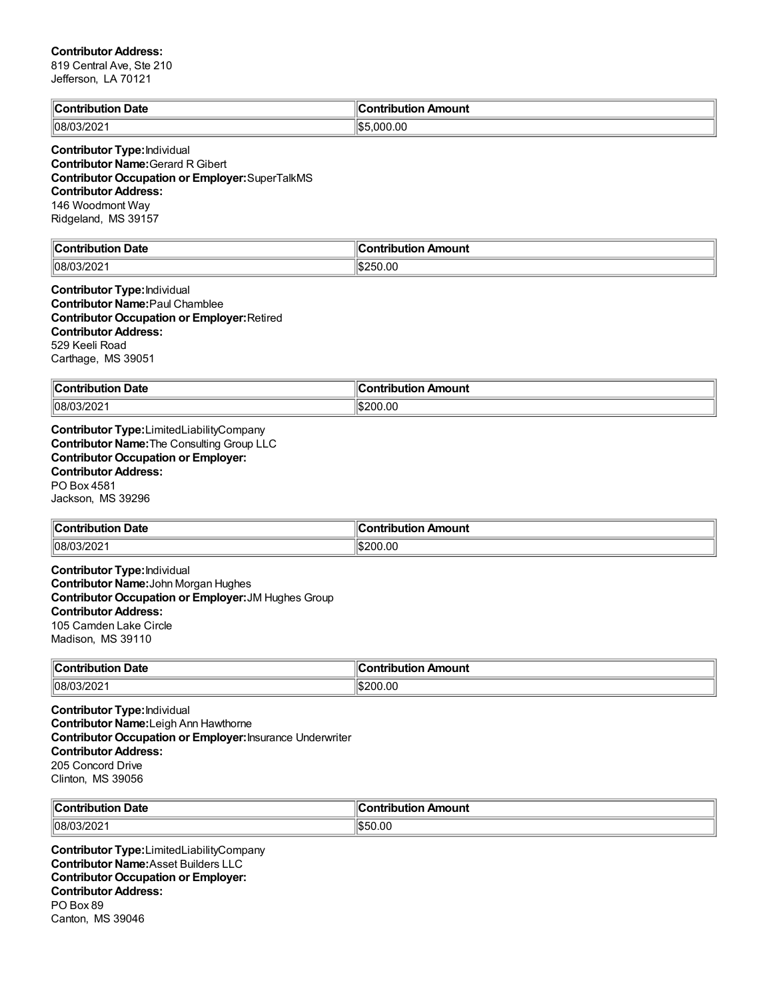#### **Contributor Address:**

Canton, MS 39046

819 Central Ave, Ste 210 Jefferson, LA 70121

| <b>Contribution Date</b>                                                                                                                                                                                                  | <b>Contribution Amount</b> |
|---------------------------------------------------------------------------------------------------------------------------------------------------------------------------------------------------------------------------|----------------------------|
| 08/03/2021                                                                                                                                                                                                                | \$5,000.00                 |
| <b>Contributor Type: Individual</b><br><b>Contributor Name: Gerard R Gibert</b><br><b>Contributor Occupation or Employer:</b> SuperTalkMS<br><b>Contributor Address:</b><br>146 Woodmont Way<br>Ridgeland, MS 39157       |                            |
| <b>Contribution Date</b>                                                                                                                                                                                                  | <b>Contribution Amount</b> |
| 08/03/2021                                                                                                                                                                                                                | \$250.00                   |
| <b>Contributor Type: Individual</b><br><b>Contributor Name: Paul Chamblee</b><br><b>Contributor Occupation or Employer: Retired</b><br><b>Contributor Address:</b><br>529 Keeli Road<br>Carthage, MS 39051                |                            |
| <b>Contribution Date</b>                                                                                                                                                                                                  | <b>Contribution Amount</b> |
| 08/03/2021                                                                                                                                                                                                                | \$200.00                   |
| <b>Contributor Name: The Consulting Group LLC</b><br><b>Contributor Occupation or Employer:</b><br><b>Contributor Address:</b><br>PO Box 4581<br>Jackson, MS 39296                                                        |                            |
| <b>Contribution Date</b>                                                                                                                                                                                                  | <b>Contribution Amount</b> |
| 08/03/2021                                                                                                                                                                                                                | \$200.00                   |
| <b>Contributor Type: Individual</b><br>Contributor Name: John Morgan Hughes<br>Contributor Occupation or Employer: JM Hughes Group<br><b>Contributor Address:</b><br>105 Camden Lake Circle<br>Madison, MS 39110          |                            |
| Contribution Date                                                                                                                                                                                                         | Contribution Amount        |
| 08/03/2021                                                                                                                                                                                                                | \$200.00                   |
| <b>Contributor Type: Individual</b><br>Contributor Name: Leigh Ann Hawthorne<br><b>Contributor Occupation or Employer: Insurance Underwriter</b><br><b>Contributor Address:</b><br>205 Concord Drive<br>Clinton, MS 39056 |                            |
| <b>Contribution Date</b>                                                                                                                                                                                                  | <b>Contribution Amount</b> |
| 08/03/2021                                                                                                                                                                                                                | \$50.00                    |
| Contributor Type:LimitedLiabilityCompany<br><b>Contributor Name: Asset Builders LLC</b><br><b>Contributor Occupation or Employer:</b><br><b>Contributor Address:</b><br>PO Box 89                                         |                            |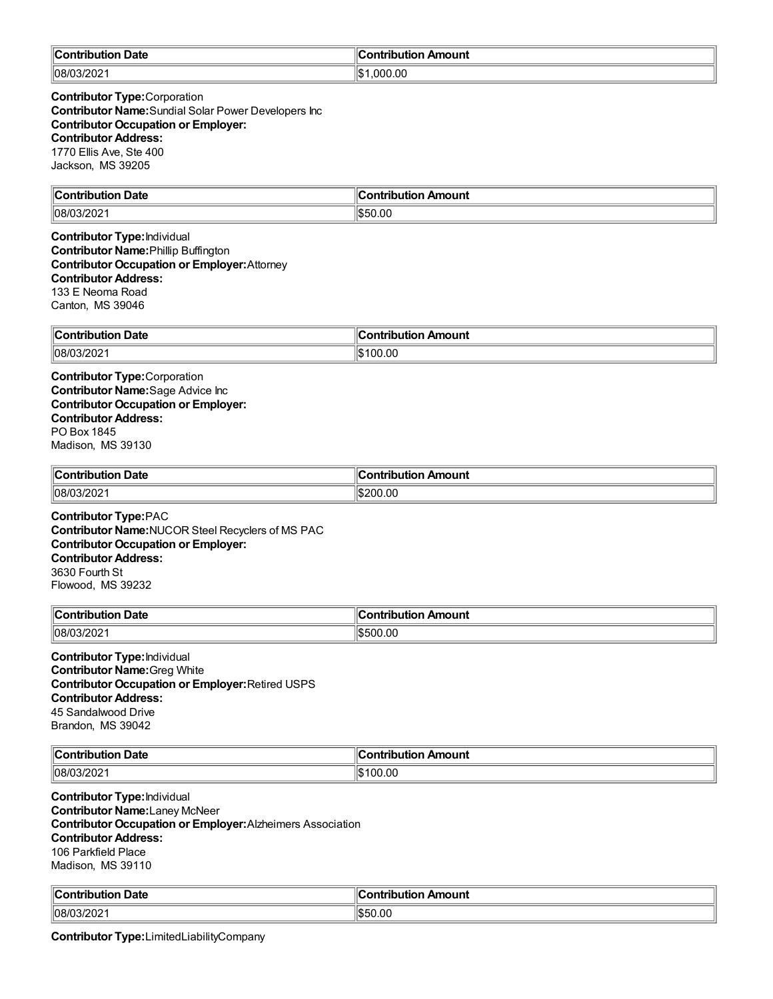| ∥Cor<br>ontribution Date | . .<br>n Amount<br>.<br>---<br>. ID' |
|--------------------------|--------------------------------------|
| 08/03/202                | ۱I¢<br>.00<br>റററ<br>ЫJ              |

**Contributor Type:**Corporation **Contributor Name:**Sundial Solar Power Developers Inc **Contributor Occupation or Employer: Contributor Address:** 1770 Ellis Ave, Ste 400 Jackson, MS 39205

| ∥Con<br>Date<br>.     | 11<br>. . <b></b><br>----<br>Amount<br>----<br> |
|-----------------------|-------------------------------------------------|
| $\sim$<br> 08/<br>∟∪∠ | ۱I¢.<br>$\sim$<br>ור<br>ll.D.<br>ט.טי           |

**Contributor Type:**Individual **Contributor Name:**Phillip Buffington **Contributor Occupation or Employer:**Attorney **Contributor Address:** 133 E Neoma Road Canton, MS 39046

| $\mathsf{I}$<br>Date<br>. | <b>\mount</b><br>.<br>-- |
|---------------------------|--------------------------|
| 108/C<br>WZ.              | 00.00<br>ыD              |

**Contributor Type:**Corporation **Contributor Name:**Sage Advice Inc **Contributor Occupation or Employer: Contributor Address:** PO Box 1845 Madison, MS 39130

| llCoı<br>Date<br>- -- ----<br>.<br>,.,<br>. | nount<br>- - - -<br>. |
|---------------------------------------------|-----------------------|
| 08/03/202                                   | 200.00                |

**Contributor Type:**PAC **Contributor Name:**NUCOR Steel Recyclers of MS PAC **Contributor Occupation or Employer: Contributor Address:** 3630 Fourth St Flowood, MS 39232

| ∥Coı                    | Amount       |
|-------------------------|--------------|
| <b>Date</b>             | www.         |
| .                       | ---          |
|                         | $\mathbf{w}$ |
| $ 08/0^\circ $<br>ے∪∠וט | .00          |

**Contributor Type:**Individual **Contributor Name:**Greg White **Contributor Occupation or Employer:**Retired USPS **Contributor Address:** 45 Sandalwood Drive Brandon, MS 39042

| ı<br>Date<br>`ontribution<br>люп<br>i IDI | <br>ntribution Amount<br>`ontribution |
|-------------------------------------------|---------------------------------------|
| 1108/C<br>∠∪                              | 100.00                                |

**Contributor Type:**Individual **Contributor Name:**Laney McNeer **Contributor Occupation or Employer:**Alzheimers Association **Contributor Address:** 106 Parkfield Place Madison, MS 39110

| ⊪c,         | 10 C         |
|-------------|--------------|
| <b>Date</b> | Amount       |
| .           | .            |
| ™uwuu∪.     | TIOI.        |
| 08/03/202   | 0.00<br>۱ъD۰ |

**Contributor Type:**LimitedLiabilityCompany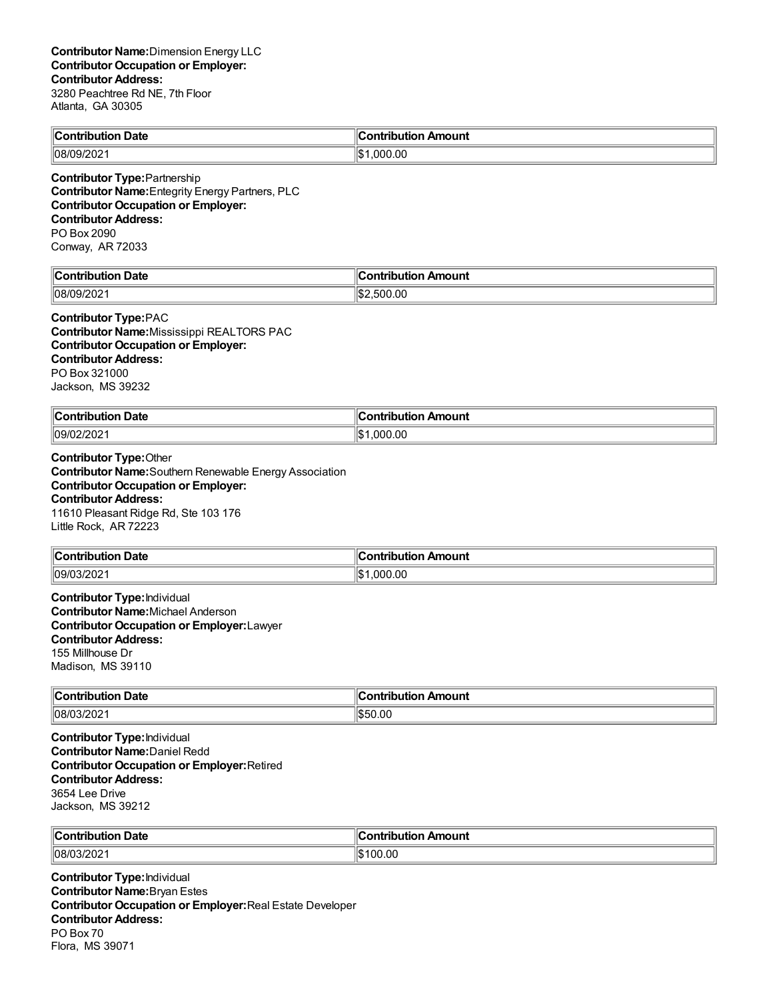| ⊪r<br>Date<br>ibution<br>. JU. | . .<br>ı<br>n Amount<br><b>Contribution</b> |
|--------------------------------|---------------------------------------------|
| $(10/20)^n$                    | $\mathbf{A}$                                |
| 108/C                          | .000.00                                     |
| $^{\prime}$ 19/202             | ال1                                         |

**Contributor Type:**Partnership **Contributor Name:**Entegrity Energy Partners, PLC **Contributor Occupation or Employer: Contributor Address:** PO Box 2090 Conway, AR 72033

| ∥C⊾<br>Date<br>Contrib.<br>ution<br>10u<br>. | Amount<br>.<br>---<br>___    |
|----------------------------------------------|------------------------------|
| 08/09<br>. JJIZUZ I                          | ۱۱œ<br>0.00.00. س.<br>، ۱٬۱۵ |

**Contributor Type:**PAC **Contributor Name:**Mississippi REALTORS PAC **Contributor Occupation or Employer: Contributor Address:** PO Box 321000 Jackson, MS 39232

| llCo⊫<br>Date<br>ontribution | Amount<br>`ontribution |
|------------------------------|------------------------|
| 09/02                        | ∥\$                    |
| 12 U Z                       | .000.00                |

# **Contributor Type:**Other

**Contributor Name:**Southern Renewable Energy Association **Contributor Occupation or Employer: Contributor Address:** 11610 Pleasant Ridge Rd, Ste 103 176 Little Rock, AR 72223

| -<br>∥Con<br>Date<br>.<br>mr<br>$\sim$ $\sim$ $\sim$ $\sim$ $\sim$ $\sim$ | Amount<br>a mbuila mbi a v<br>ш   |
|---------------------------------------------------------------------------|-----------------------------------|
| $\parallel$ 09/03<br>זכ<br>14 U 4                                         | .00<br>$\sim$ $\sim$<br>ດ ແ<br>ıъ |

**Contributor Type:**Individual **Contributor Name:**Michael Anderson **Contributor Occupation or Employer:**Lawyer **Contributor Address:** 155 Millhouse Dr Madison, MS 39110

| $\mathsf{C}$ ontribution<br><b>Date</b> | Amount<br>$\sim$ $\sim$<br>. |
|-----------------------------------------|------------------------------|
| 08/0<br>. <sup>~∩•3</sup> /20∠∴<br>     | .00<br>1 C L                 |

**Contributor Type:**Individual **Contributor Name:**Daniel Redd **Contributor Occupation or Employer:**Retired **Contributor Address:** 3654 Lee Drive Jackson, MS 39212

| llCo⊫                      | Amount |
|----------------------------|--------|
| Date                       | - -- - |
| - -- ----- - - - - - - - - | ⊔ti∩n  |
|                            | -----  |
| $ 08/0^{\circ} $<br>13/202 | '00.00 |

**Contributor Type:**Individual **Contributor Name:**Bryan Estes **Contributor Occupation or Employer:**Real Estate Developer **Contributor Address:** PO Box 70 Flora, MS 39071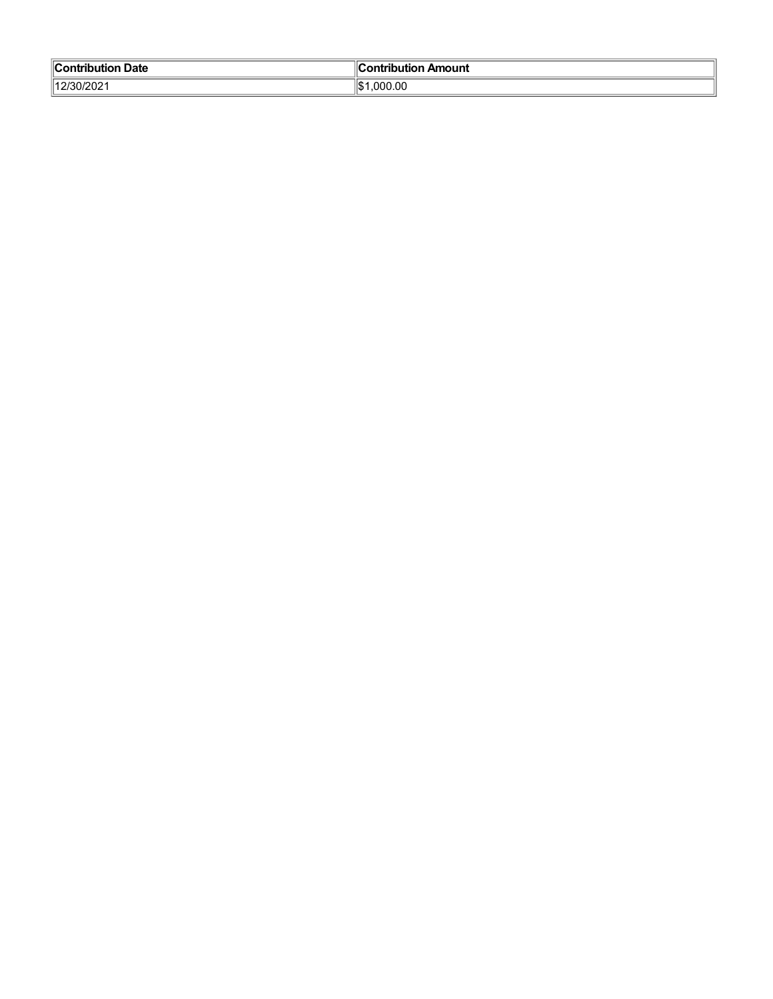| $\blacksquare$ Contribution<br><b>Date</b> | Contribution Amount |
|--------------------------------------------|---------------------|
| 12/30/2021                                 | ‼⊄ 1<br>.000.00     |